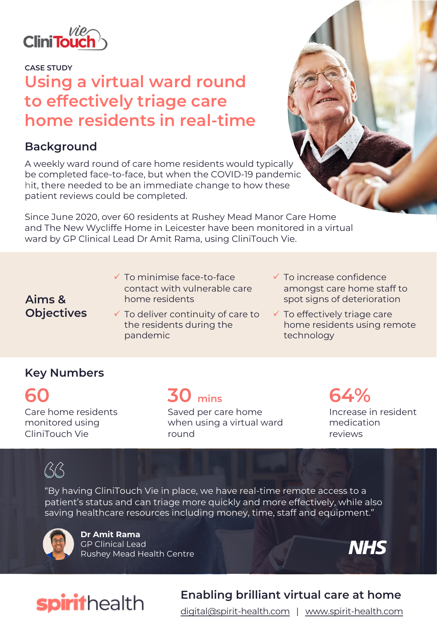

**CASE STUDY**

# **Using a virtual ward round to effectively triage care home residents in real-time**

#### **Background**

A weekly ward round of care home residents would typically be completed face-to-face, but when the COVID-19 pandemic hit, there needed to be an immediate change to how these patient reviews could be completed.

Since June 2020, over 60 residents at Rushey Mead Manor Care Home and The New Wycliffe Home in Leicester have been monitored in a virtual ward by GP Clinical Lead Dr Amit Rama, using CliniTouch Vie.

- $\checkmark$  To minimise face-to-face contact with vulnerable care home residents
- **Aims & Objectives**
- $\checkmark$  To deliver continuity of care to the residents during the pandemic
- $\checkmark$  To increase confidence amongst care home staff to spot signs of deterioration
- $\checkmark$  To effectively triage care home residents using remote technology

### **Key Numbers**

**60** Care home residents monitored using CliniTouch Vie

**30 mins**

Saved per care home when using a virtual ward round

## **64%** Increase in resident

medication reviews

# $\beta$

"By having CliniTouch Vie in place, we have real-time remote access to a patient's status and can triage more quickly and more effectively, while also saving healthcare resources including money, time, staff and equipment."



**Dr Amit Rama** GP Clinical Lead Rushey Mead Health Centre



# spirithealth

# **Enabling brilliant virtual care at home**

[digital@spirit-health.com](mailto:digital@spirit-health.com) | [www.spirit-health.com](http://www.spirit-health.com/)